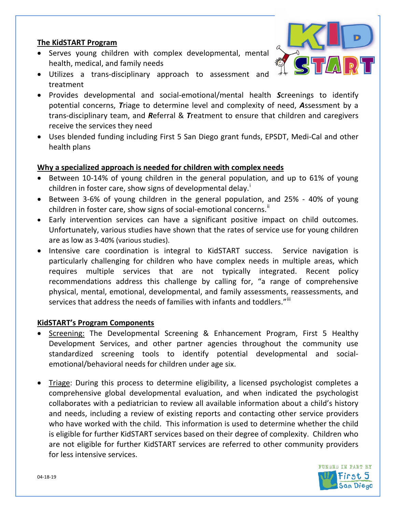# **The KidSTART Program**

- Serves young children with complex developmental, mental health, medical, and family needs
- Utilizes a trans-disciplinary approach to assessment and treatment
- Provides developmental and social-emotional/mental health *S*creenings to identify potential concerns, *T*riage to determine level and complexity of need, *A*ssessment by a trans-disciplinary team, and *R*eferral & *T*reatment to ensure that children and caregivers receive the services they need
- Uses blended funding including First 5 San Diego grant funds, EPSDT, Medi-Cal and other health plans

# **Why a specialized approach is needed for children with complex needs**

- Between 10-14% of young children in the general population, and up to 61% of young ch[i](#page-1-0)ldren in foster care, show signs of developmental delay.<sup>1</sup>
- Between 3-6% of young children in the general population, and 25% 40% of young children in foster care, show signs of social-emotional concerns.<sup>"</sup>
- Early intervention services can have a significant positive impact on child outcomes. Unfortunately, various studies have shown that the rates of service use for young children are as low as 3-40% (various studies).
- Intensive care coordination is integral to KidSTART success. Service navigation is particularly challenging for children who have complex needs in multiple areas, which requires multiple services that are not typically integrated. Recent policy recommendations address this challenge by calling for, "a range of comprehensive physical, mental, emotional, developmental, and family assessments, reassessments, and services that address the needs of families with infants and toddlers."<sup>III</sup>

### **KidSTART's Program Components**

- Screening: The Developmental Screening & Enhancement Program, First 5 Healthy Development Services, and other partner agencies throughout the community use standardized screening tools to identify potential developmental and socialemotional/behavioral needs for children under age six.
- Triage: During this process to determine eligibility, a licensed psychologist completes a comprehensive global developmental evaluation, and when indicated the psychologist collaborates with a pediatrician to review all available information about a child's history and needs, including a review of existing reports and contacting other service providers who have worked with the child. This information is used to determine whether the child is eligible for further KidSTART services based on their degree of complexity. Children who are not eligible for further KidSTART services are referred to other community providers for less intensive services.